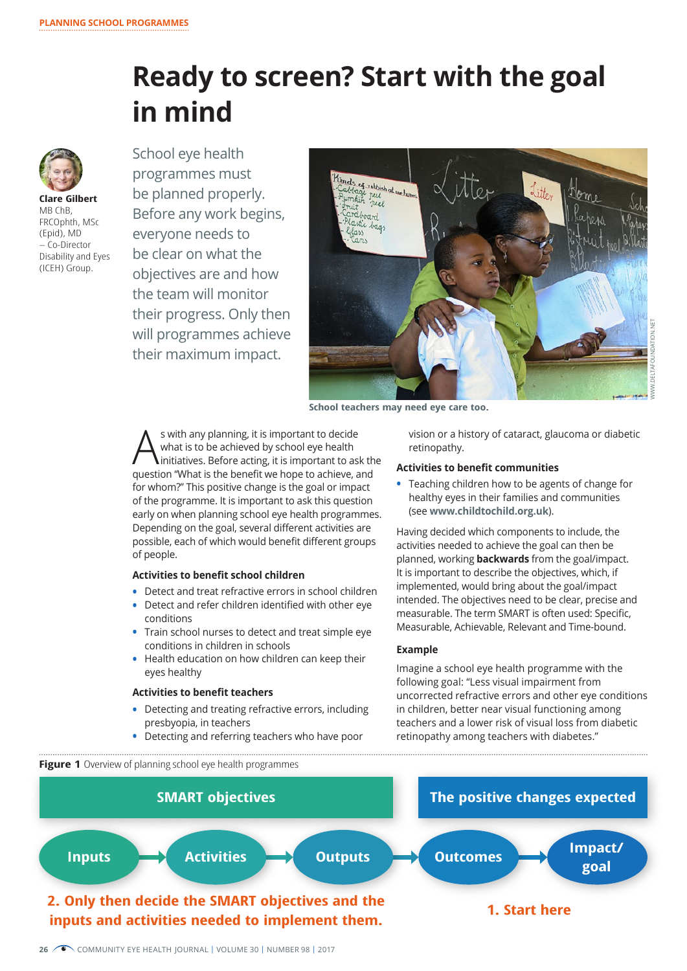# **Ready to screen? Start with the goal in mind**



**Clare Gilbert** MB ChB, FRCOphth, MSc (Epid), MD – Co-Director Disability and Eyes (ICEH) Group.

School eye health programmes must be planned properly. Before any work begins, everyone needs to be clear on what the objectives are and how the team will monitor their progress. Only then will programmes achieve their maximum impact.



**School teachers may need eye care too.** 

s with any planning, it is important to decide<br>what is to be achieved by school eye health<br>initiatives. Before acting, it is important to as what is to be achieved by school eye health **linitiatives. Before acting, it is important to ask the** question "What is the benefit we hope to achieve, and for whom?" This positive change is the goal or impact of the programme. It is important to ask this question early on when planning school eye health programmes. Depending on the goal, several different activities are possible, each of which would benefit different groups of people.

## **Activities to benefit school children**

- **•** Detect and treat refractive errors in school children
- **•** Detect and refer children identified with other eye conditions
- **•** Train school nurses to detect and treat simple eye conditions in children in schools
- **•** Health education on how children can keep their eyes healthy

## **Activities to benefit teachers**

- **•** Detecting and treating refractive errors, including presbyopia, in teachers
- **•** Detecting and referring teachers who have poor

vision or a history of cataract, glaucoma or diabetic retinopathy.

#### **Activities to benefit communities**

**•** Teaching children how to be agents of change for healthy eyes in their families and communities (see **www.childtochild.org.uk**).

Having decided which components to include, the activities needed to achieve the goal can then be planned, working **backwards** from the goal/impact. It is important to describe the objectives, which, if implemented, would bring about the goal/impact intended. The objectives need to be clear, precise and measurable. The term SMART is often used: Specific, Measurable, Achievable, Relevant and Time-bound.

#### **Example**

Imagine a school eye health programme with the following goal: "Less visual impairment from uncorrected refractive errors and other eye conditions in children, better near visual functioning among teachers and a lower risk of visual loss from diabetic retinopathy among teachers with diabetes."

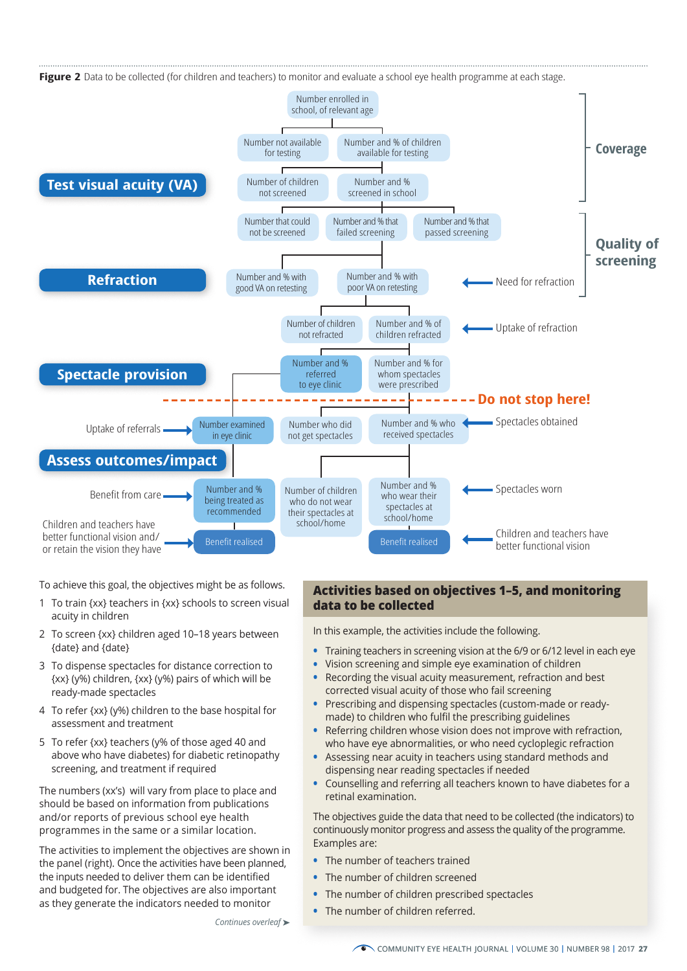

To achieve this goal, the objectives might be as follows.

- 1 To train {xx} teachers in {xx} schools to screen visual acuity in children
- 2 To screen {xx} children aged 10–18 years between {date} and {date}
- 3 To dispense spectacles for distance correction to {xx} (y%) children, {xx} (y%) pairs of which will be ready-made spectacles
- 4 To refer {xx} (y%) children to the base hospital for assessment and treatment
- 5 To refer {xx} teachers (y% of those aged 40 and above who have diabetes) for diabetic retinopathy screening, and treatment if required

The numbers (xx's) will vary from place to place and should be based on information from publications and/or reports of previous school eye health programmes in the same or a similar location.

The activities to implement the objectives are shown in the panel (right). Once the activities have been planned, the inputs needed to deliver them can be identified and budgeted for. The objectives are also important as they generate the indicators needed to monitor

*Continues overleaf* ➤

# **Activities based on objectives 1–5, and monitoring data to be collected**

In this example, the activities include the following.

- **•** Training teachers in screening vision at the 6/9 or 6/12 level in each eye
- **•** Vision screening and simple eye examination of children
- **•** Recording the visual acuity measurement, refraction and best corrected visual acuity of those who fail screening
- **•** Prescribing and dispensing spectacles (custom-made or readymade) to children who fulfil the prescribing guidelines
- **•** Referring children whose vision does not improve with refraction, who have eye abnormalities, or who need cycloplegic refraction
- **•** Assessing near acuity in teachers using standard methods and dispensing near reading spectacles if needed
- **•** Counselling and referring all teachers known to have diabetes for a retinal examination.

The objectives guide the data that need to be collected (the indicators) to continuously monitor progress and assess the quality of the programme. Examples are:

- **•** The number of teachers trained
- **•** The number of children screened
- **•** The number of children prescribed spectacles
- **•** The number of children referred.